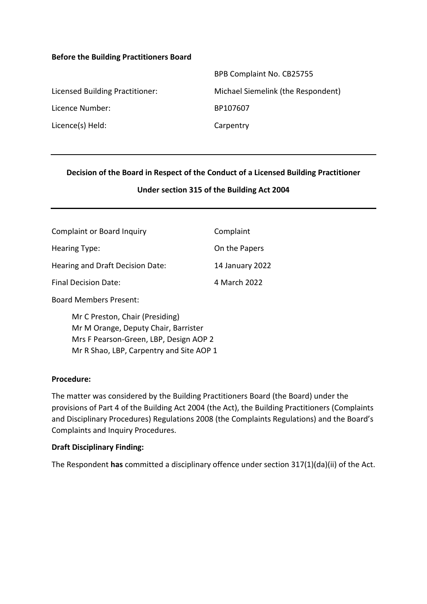#### **Before the Building Practitioners Board**

|                                 | BPB Complaint No. CB25755          |
|---------------------------------|------------------------------------|
| Licensed Building Practitioner: | Michael Siemelink (the Respondent) |
| Licence Number:                 | BP107607                           |
| Licence(s) Held:                | Carpentry                          |

### **Decision of the Board in Respect of the Conduct of a Licensed Building Practitioner**

#### **Under section 315 of the Building Act 2004**

| <b>Complaint or Board Inquiry</b> | Complaint       |
|-----------------------------------|-----------------|
| Hearing Type:                     | On the Papers   |
| Hearing and Draft Decision Date:  | 14 January 2022 |
| <b>Final Decision Date:</b>       | 4 March 2022    |

Board Members Present:

Mr C Preston, Chair (Presiding) Mr M Orange, Deputy Chair, Barrister Mrs F Pearson-Green, LBP, Design AOP 2 Mr R Shao, LBP, Carpentry and Site AOP 1

#### **Procedure:**

The matter was considered by the Building Practitioners Board (the Board) under the provisions of Part 4 of the Building Act 2004 (the Act), the Building Practitioners (Complaints and Disciplinary Procedures) Regulations 2008 (the Complaints Regulations) and the Board's Complaints and Inquiry Procedures.

#### **Draft Disciplinary Finding:**

The Respondent **has** committed a disciplinary offence under section 317(1)(da)(ii) of the Act.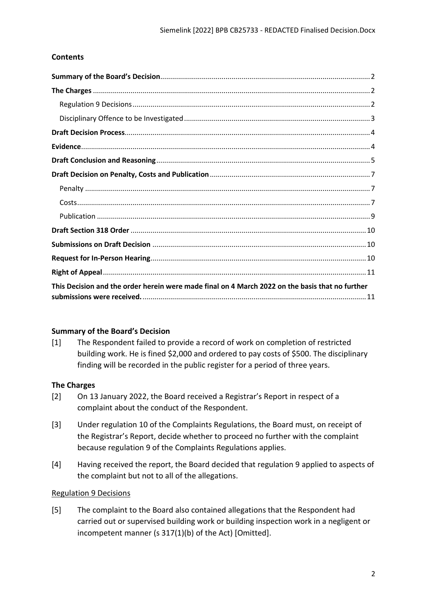# **Contents**

| This Decision and the order herein were made final on 4 March 2022 on the basis that no further |
|-------------------------------------------------------------------------------------------------|

# <span id="page-1-0"></span>**Summary of the Board's Decision**

[1] The Respondent failed to provide a record of work on completion of restricted building work. He is fined \$2,000 and ordered to pay costs of \$500. The disciplinary finding will be recorded in the public register for a period of three years.

### <span id="page-1-1"></span>**The Charges**

- [2] On 13 January 2022, the Board received a Registrar's Report in respect of a complaint about the conduct of the Respondent.
- [3] Under regulation 10 of the Complaints Regulations, the Board must, on receipt of the Registrar's Report, decide whether to proceed no further with the complaint because regulation 9 of the Complaints Regulations applies.
- [4] Having received the report, the Board decided that regulation 9 applied to aspects of the complaint but not to all of the allegations.

### <span id="page-1-2"></span>Regulation 9 Decisions

[5] The complaint to the Board also contained allegations that the Respondent had carried out or supervised building work or building inspection work in a negligent or incompetent manner (s 317(1)(b) of the Act) [Omitted].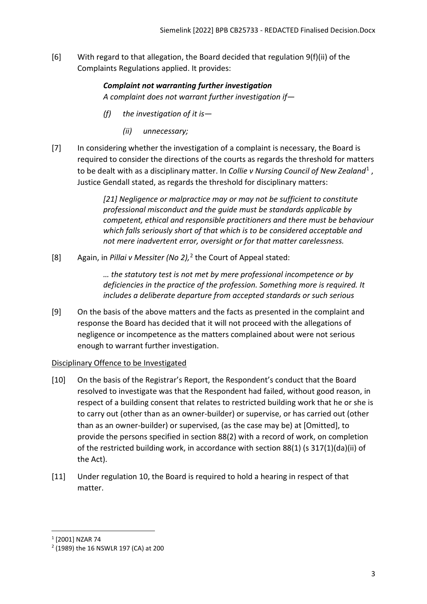[6] With regard to that allegation, the Board decided that regulation 9(f)(ii) of the Complaints Regulations applied. It provides:

# *Complaint not warranting further investigation A complaint does not warrant further investigation if—*

- *(f) the investigation of it is—* 
	- *(ii) unnecessary;*
- [7] In considering whether the investigation of a complaint is necessary, the Board is required to consider the directions of the courts as regards the threshold for matters to be dealt with as a disciplinary matter. In *Collie v Nursing Council of New Zealand*[1](#page-2-1) , Justice Gendall stated, as regards the threshold for disciplinary matters:

*[21] Negligence or malpractice may or may not be sufficient to constitute professional misconduct and the guide must be standards applicable by competent, ethical and responsible practitioners and there must be behaviour which falls seriously short of that which is to be considered acceptable and not mere inadvertent error, oversight or for that matter carelessness.*

[8] Again, in *Pillai v Messiter (No 2),* [2](#page-2-2) the Court of Appeal stated:

*… the statutory test is not met by mere professional incompetence or by deficiencies in the practice of the profession. Something more is required. It includes a deliberate departure from accepted standards or such serious* 

[9] On the basis of the above matters and the facts as presented in the complaint and response the Board has decided that it will not proceed with the allegations of negligence or incompetence as the matters complained about were not serious enough to warrant further investigation.

### <span id="page-2-0"></span>Disciplinary Offence to be Investigated

- [10] On the basis of the Registrar's Report, the Respondent's conduct that the Board resolved to investigate was that the Respondent had failed, without good reason, in respect of a building consent that relates to restricted building work that he or she is to carry out (other than as an owner-builder) or supervise, or has carried out (other than as an owner-builder) or supervised, (as the case may be) at [Omitted], to provide the persons specified in section 88(2) with a record of work, on completion of the restricted building work, in accordance with section 88(1) (s 317(1)(da)(ii) of the Act).
- [11] Under regulation 10, the Board is required to hold a hearing in respect of that matter.

<span id="page-2-1"></span><sup>1</sup> [2001] NZAR 74

<span id="page-2-2"></span><sup>2</sup> (1989) the 16 NSWLR 197 (CA) at 200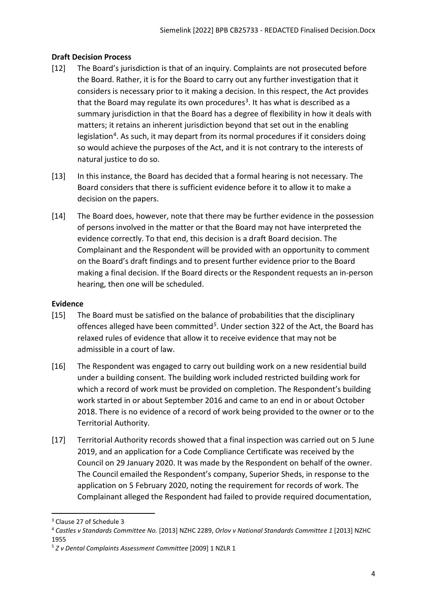## <span id="page-3-0"></span>**Draft Decision Process**

- [12] The Board's jurisdiction is that of an inquiry. Complaints are not prosecuted before the Board. Rather, it is for the Board to carry out any further investigation that it considers is necessary prior to it making a decision. In this respect, the Act provides that the Board may regulate its own procedures<sup>[3](#page-3-2)</sup>. It has what is described as a summary jurisdiction in that the Board has a degree of flexibility in how it deals with matters; it retains an inherent jurisdiction beyond that set out in the enabling legislation<sup>[4](#page-3-3)</sup>. As such, it may depart from its normal procedures if it considers doing so would achieve the purposes of the Act, and it is not contrary to the interests of natural justice to do so.
- [13] In this instance, the Board has decided that a formal hearing is not necessary. The Board considers that there is sufficient evidence before it to allow it to make a decision on the papers.
- [14] The Board does, however, note that there may be further evidence in the possession of persons involved in the matter or that the Board may not have interpreted the evidence correctly. To that end, this decision is a draft Board decision. The Complainant and the Respondent will be provided with an opportunity to comment on the Board's draft findings and to present further evidence prior to the Board making a final decision. If the Board directs or the Respondent requests an in-person hearing, then one will be scheduled.

### <span id="page-3-1"></span>**Evidence**

- [15] The Board must be satisfied on the balance of probabilities that the disciplinary offences alleged have been committed*[5](#page-3-4)*. Under section 322 of the Act, the Board has relaxed rules of evidence that allow it to receive evidence that may not be admissible in a court of law.
- [16] The Respondent was engaged to carry out building work on a new residential build under a building consent. The building work included restricted building work for which a record of work must be provided on completion. The Respondent's building work started in or about September 2016 and came to an end in or about October 2018. There is no evidence of a record of work being provided to the owner or to the Territorial Authority.
- [17] Territorial Authority records showed that a final inspection was carried out on 5 June 2019, and an application for a Code Compliance Certificate was received by the Council on 29 January 2020. It was made by the Respondent on behalf of the owner. The Council emailed the Respondent's company, Superior Sheds, in response to the application on 5 February 2020, noting the requirement for records of work. The Complainant alleged the Respondent had failed to provide required documentation,

<span id="page-3-2"></span><sup>3</sup> Clause 27 of Schedule 3

<span id="page-3-3"></span><sup>4</sup> *Castles v Standards Committee No.* [2013] NZHC 2289, *Orlov v National Standards Committee 1* [2013] NZHC 1955

<span id="page-3-4"></span><sup>5</sup> *Z v Dental Complaints Assessment Committee* [2009] 1 NZLR 1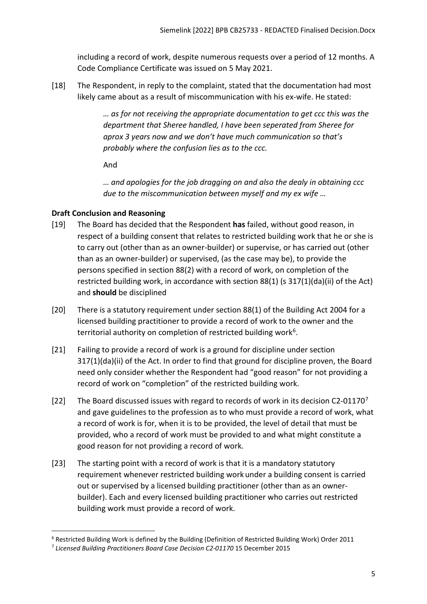including a record of work, despite numerous requests over a period of 12 months. A Code Compliance Certificate was issued on 5 May 2021.

[18] The Respondent, in reply to the complaint, stated that the documentation had most likely came about as a result of miscommunication with his ex-wife. He stated:

> *… as for not receiving the appropriate documentation to get ccc this was the department that Sheree handled, I have been seperated from Sheree for aprox 3 years now and we don't have much communication so that's probably where the confusion lies as to the ccc.*

And

*… and apologies for the job dragging on and also the dealy in obtaining ccc due to the miscommunication between myself and my ex wife …* 

# <span id="page-4-0"></span>**Draft Conclusion and Reasoning**

- [19] The Board has decided that the Respondent **has** failed, without good reason, in respect of a building consent that relates to restricted building work that he or she is to carry out (other than as an owner-builder) or supervise, or has carried out (other than as an owner-builder) or supervised, (as the case may be), to provide the persons specified in section 88(2) with a record of work, on completion of the restricted building work, in accordance with section 88(1) (s 317(1)(da)(ii) of the Act) and **should** be disciplined
- [20] There is a statutory requirement under section 88(1) of the Building Act 2004 for a licensed building practitioner to provide a record of work to the owner and the territorial authority on completion of restricted building work<sup>[6](#page-4-1)</sup>.
- [21] Failing to provide a record of work is a ground for discipline under section 317(1)(da)(ii) of the Act. In order to find that ground for discipline proven, the Board need only consider whether the Respondent had "good reason" for not providing a record of work on "completion" of the restricted building work.
- [22] The Board discussed issues with regard to records of work in its decision C2-011[7](#page-4-2)0<sup>7</sup> and gave guidelines to the profession as to who must provide a record of work, what a record of work is for, when it is to be provided, the level of detail that must be provided, who a record of work must be provided to and what might constitute a good reason for not providing a record of work.
- [23] The starting point with a record of work is that it is a mandatory statutory requirement whenever restricted building work under a building consent is carried out or supervised by a licensed building practitioner (other than as an ownerbuilder). Each and every licensed building practitioner who carries out restricted building work must provide a record of work.

<span id="page-4-1"></span><sup>6</sup> Restricted Building Work is defined by the Building (Definition of Restricted Building Work) Order 2011

<span id="page-4-2"></span><sup>7</sup> *Licensed Building Practitioners Board Case Decision C2-01170* 15 December 2015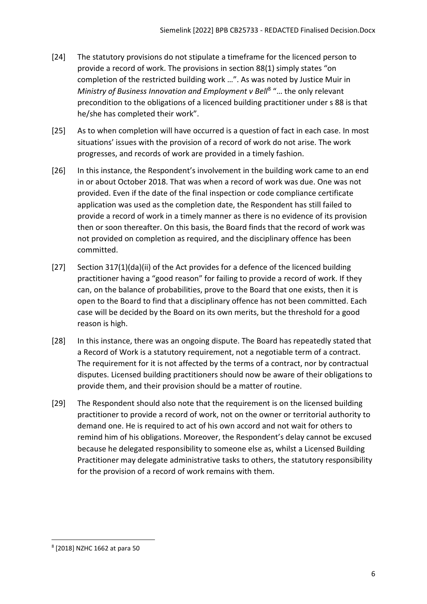- [24] The statutory provisions do not stipulate a timeframe for the licenced person to provide a record of work. The provisions in section 88(1) simply states "on completion of the restricted building work …". As was noted by Justice Muir in *Ministry of Business Innovation and Employment v Bell<sup>[8](#page-5-0)</sup> "... the only relevant* precondition to the obligations of a licenced building practitioner under s 88 is that he/she has completed their work".
- [25] As to when completion will have occurred is a question of fact in each case. In most situations' issues with the provision of a record of work do not arise. The work progresses, and records of work are provided in a timely fashion.
- [26] In this instance, the Respondent's involvement in the building work came to an end in or about October 2018. That was when a record of work was due. One was not provided. Even if the date of the final inspection or code compliance certificate application was used as the completion date, the Respondent has still failed to provide a record of work in a timely manner as there is no evidence of its provision then or soon thereafter. On this basis, the Board finds that the record of work was not provided on completion as required, and the disciplinary offence has been committed.
- [27] Section 317(1)(da)(ii) of the Act provides for a defence of the licenced building practitioner having a "good reason" for failing to provide a record of work. If they can, on the balance of probabilities, prove to the Board that one exists, then it is open to the Board to find that a disciplinary offence has not been committed. Each case will be decided by the Board on its own merits, but the threshold for a good reason is high.
- [28] In this instance, there was an ongoing dispute. The Board has repeatedly stated that a Record of Work is a statutory requirement, not a negotiable term of a contract. The requirement for it is not affected by the terms of a contract, nor by contractual disputes. Licensed building practitioners should now be aware of their obligations to provide them, and their provision should be a matter of routine.
- [29] The Respondent should also note that the requirement is on the licensed building practitioner to provide a record of work, not on the owner or territorial authority to demand one. He is required to act of his own accord and not wait for others to remind him of his obligations. Moreover, the Respondent's delay cannot be excused because he delegated responsibility to someone else as, whilst a Licensed Building Practitioner may delegate administrative tasks to others, the statutory responsibility for the provision of a record of work remains with them.

<span id="page-5-0"></span><sup>8</sup> [2018] NZHC 1662 at para 50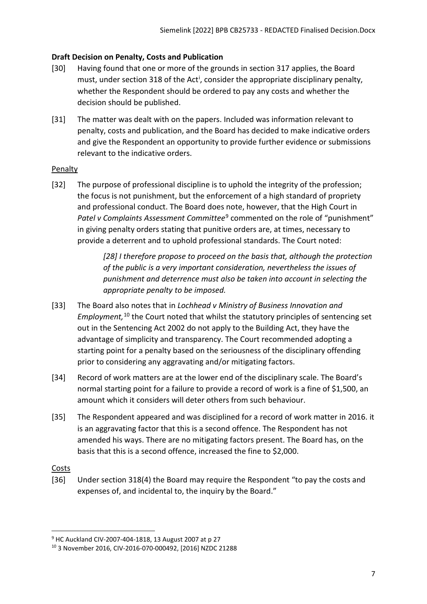## <span id="page-6-0"></span>**Draft Decision on Penalty, Costs and Publication**

- [30] Having found that one or more of the grounds in section 317 applies, the Board must, under sect[i](#page-10-2)on 318 of the Act<sup>i</sup>, consider the appropriate disciplinary penalty, whether the Respondent should be ordered to pay any costs and whether the decision should be published.
- [31] The matter was dealt with on the papers. Included was information relevant to penalty, costs and publication, and the Board has decided to make indicative orders and give the Respondent an opportunity to provide further evidence or submissions relevant to the indicative orders.

### <span id="page-6-1"></span>Penalty

[32] The purpose of professional discipline is to uphold the integrity of the profession; the focus is not punishment, but the enforcement of a high standard of propriety and professional conduct. The Board does note, however, that the High Court in *Patel v Complaints Assessment Committee<sup>[9](#page-6-3)</sup> commented on the role of "punishment"* in giving penalty orders stating that punitive orders are, at times, necessary to provide a deterrent and to uphold professional standards. The Court noted:

> *[28] I therefore propose to proceed on the basis that, although the protection of the public is a very important consideration, nevertheless the issues of punishment and deterrence must also be taken into account in selecting the appropriate penalty to be imposed.*

- [33] The Board also notes that in *Lochhead v Ministry of Business Innovation and Employment,* [10](#page-6-4) the Court noted that whilst the statutory principles of sentencing set out in the Sentencing Act 2002 do not apply to the Building Act, they have the advantage of simplicity and transparency. The Court recommended adopting a starting point for a penalty based on the seriousness of the disciplinary offending prior to considering any aggravating and/or mitigating factors.
- [34] Record of work matters are at the lower end of the disciplinary scale. The Board's normal starting point for a failure to provide a record of work is a fine of \$1,500, an amount which it considers will deter others from such behaviour.
- [35] The Respondent appeared and was disciplined for a record of work matter in 2016. it is an aggravating factor that this is a second offence. The Respondent has not amended his ways. There are no mitigating factors present. The Board has, on the basis that this is a second offence, increased the fine to \$2,000.

### <span id="page-6-2"></span>Costs

[36] Under section 318(4) the Board may require the Respondent "to pay the costs and expenses of, and incidental to, the inquiry by the Board."

<span id="page-6-3"></span><sup>9</sup> HC Auckland CIV-2007-404-1818, 13 August 2007 at p 27

<span id="page-6-4"></span><sup>10</sup> 3 November 2016, CIV-2016-070-000492, [2016] NZDC 21288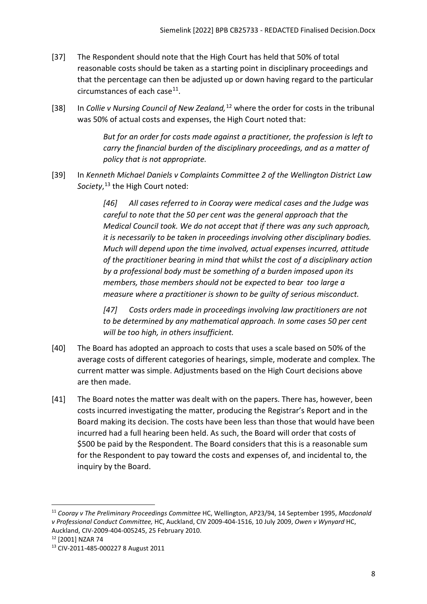- [37] The Respondent should note that the High Court has held that 50% of total reasonable costs should be taken as a starting point in disciplinary proceedings and that the percentage can then be adjusted up or down having regard to the particular circumstances of each case $^{11}$ .
- [38] In *Collie v Nursing Council of New Zealand,*[12](#page-7-1) where the order for costs in the tribunal was 50% of actual costs and expenses, the High Court noted that:

*But for an order for costs made against a practitioner, the profession is left to carry the financial burden of the disciplinary proceedings, and as a matter of policy that is not appropriate.*

[39] In *Kenneth Michael Daniels v Complaints Committee 2 of the Wellington District Law Society*, [13](#page-7-2) the High Court noted:

> *[46] All cases referred to in Cooray were medical cases and the Judge was careful to note that the 50 per cent was the general approach that the Medical Council took. We do not accept that if there was any such approach, it is necessarily to be taken in proceedings involving other disciplinary bodies. Much will depend upon the time involved, actual expenses incurred, attitude of the practitioner bearing in mind that whilst the cost of a disciplinary action by a professional body must be something of a burden imposed upon its members, those members should not be expected to bear too large a measure where a practitioner is shown to be guilty of serious misconduct.*

*[47] Costs orders made in proceedings involving law practitioners are not to be determined by any mathematical approach. In some cases 50 per cent will be too high, in others insufficient.*

- [40] The Board has adopted an approach to costs that uses a scale based on 50% of the average costs of different categories of hearings, simple, moderate and complex. The current matter was simple. Adjustments based on the High Court decisions above are then made.
- [41] The Board notes the matter was dealt with on the papers. There has, however, been costs incurred investigating the matter, producing the Registrar's Report and in the Board making its decision. The costs have been less than those that would have been incurred had a full hearing been held. As such, the Board will order that costs of \$500 be paid by the Respondent. The Board considers that this is a reasonable sum for the Respondent to pay toward the costs and expenses of, and incidental to, the inquiry by the Board.

<span id="page-7-0"></span><sup>11</sup> *Cooray v The Preliminary Proceedings Committee* HC, Wellington, AP23/94, 14 September 1995, *Macdonald v Professional Conduct Committee,* HC, Auckland, CIV 2009-404-1516, 10 July 2009, *Owen v Wynyard* HC, Auckland, CIV-2009-404-005245, 25 February 2010.<br><sup>12</sup> [2001] NZAR 74

<span id="page-7-2"></span><span id="page-7-1"></span><sup>13</sup> CIV-2011-485-000227 8 August 2011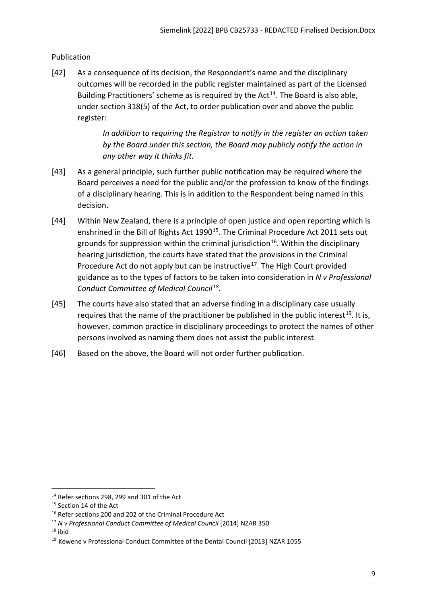# <span id="page-8-0"></span>Publication

[42] As a consequence of its decision, the Respondent's name and the disciplinary outcomes will be recorded in the public register maintained as part of the Licensed Building Practitioners' scheme as is required by the  $Act^{14}$  $Act^{14}$  $Act^{14}$ . The Board is also able, under section 318(5) of the Act, to order publication over and above the public register:

> *In addition to requiring the Registrar to notify in the register an action taken by the Board under this section, the Board may publicly notify the action in any other way it thinks fit.*

- [43] As a general principle, such further public notification may be required where the Board perceives a need for the public and/or the profession to know of the findings of a disciplinary hearing. This is in addition to the Respondent being named in this decision.
- [44] Within New Zealand, there is a principle of open justice and open reporting which is enshrined in the Bill of Rights Act 1990<sup>15</sup>. The Criminal Procedure Act 2011 sets out grounds for suppression within the criminal jurisdiction<sup>16</sup>. Within the disciplinary hearing jurisdiction, the courts have stated that the provisions in the Criminal Procedure Act do not apply but can be instructive<sup>[17](#page-8-4)</sup>. The High Court provided guidance as to the types of factors to be taken into consideration in *N v Professional Conduct Committee of Medical Council[18](#page-8-5).*
- [45] The courts have also stated that an adverse finding in a disciplinary case usually requires that the name of the practitioner be published in the public interest<sup>[19](#page-8-6)</sup>. It is, however, common practice in disciplinary proceedings to protect the names of other persons involved as naming them does not assist the public interest.
- [46] Based on the above, the Board will not order further publication.

<span id="page-8-5"></span> $18$  ibid

<span id="page-8-1"></span> $14$  Refer sections 298, 299 and 301 of the Act

<span id="page-8-2"></span><sup>&</sup>lt;sup>15</sup> Section 14 of the Act

<span id="page-8-3"></span><sup>&</sup>lt;sup>16</sup> Refer sections 200 and 202 of the Criminal Procedure Act

<span id="page-8-4"></span><sup>17</sup> *N v Professional Conduct Committee of Medical Council* [2014] NZAR 350

<span id="page-8-6"></span><sup>&</sup>lt;sup>19</sup> Kewene v Professional Conduct Committee of the Dental Council [2013] NZAR 1055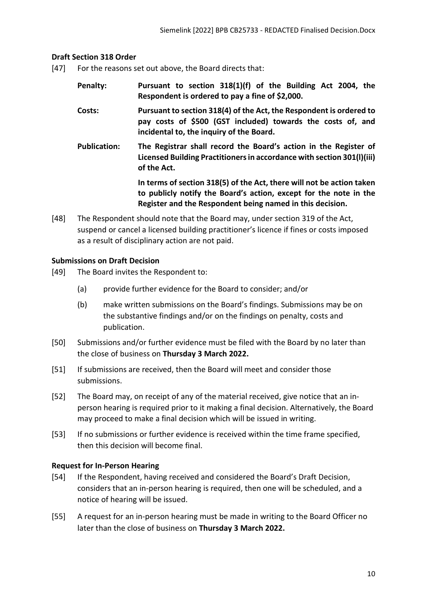### <span id="page-9-0"></span>**Draft Section 318 Order**

- [47] For the reasons set out above, the Board directs that:
	- **Penalty: Pursuant to section 318(1)(f) of the Building Act 2004, the Respondent is ordered to pay a fine of \$2,000.**
	- **Costs: Pursuant to section 318(4) of the Act, the Respondent is ordered to pay costs of \$500 (GST included) towards the costs of, and incidental to, the inquiry of the Board.**
	- **Publication: The Registrar shall record the Board's action in the Register of Licensed Building Practitioners in accordance with section 301(l)(iii) of the Act.**

**In terms of section 318(5) of the Act, there will not be action taken to publicly notify the Board's action, except for the note in the Register and the Respondent being named in this decision.**

[48] The Respondent should note that the Board may, under section 319 of the Act, suspend or cancel a licensed building practitioner's licence if fines or costs imposed as a result of disciplinary action are not paid.

### <span id="page-9-1"></span>**Submissions on Draft Decision**

- [49] The Board invites the Respondent to:
	- (a) provide further evidence for the Board to consider; and/or
	- (b) make written submissions on the Board's findings. Submissions may be on the substantive findings and/or on the findings on penalty, costs and publication.
- [50] Submissions and/or further evidence must be filed with the Board by no later than the close of business on **Thursday 3 March 2022.**
- [51] If submissions are received, then the Board will meet and consider those submissions.
- [52] The Board may, on receipt of any of the material received, give notice that an inperson hearing is required prior to it making a final decision. Alternatively, the Board may proceed to make a final decision which will be issued in writing.
- [53] If no submissions or further evidence is received within the time frame specified, then this decision will become final.

### <span id="page-9-2"></span>**Request for In-Person Hearing**

- [54] If the Respondent, having received and considered the Board's Draft Decision, considers that an in-person hearing is required, then one will be scheduled, and a notice of hearing will be issued.
- [55] A request for an in-person hearing must be made in writing to the Board Officer no later than the close of business on **Thursday 3 March 2022.**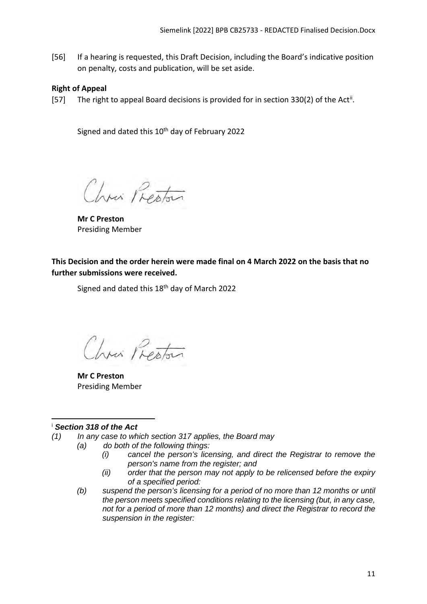[56] If a hearing is requested, this Draft Decision, including the Board's indicative position on penalty, costs and publication, will be set aside.

### <span id="page-10-0"></span>**Right of Appeal**

[57] The right to appeal Board decisions is provided for in section 330(2) of the Act<sup>[ii](#page-11-0)</sup>.

Signed and dated this 10<sup>th</sup> day of February 2022

Chris Preston

**Mr C Preston**  Presiding Member

<span id="page-10-1"></span>**This Decision and the order herein were made final on 4 March 2022 on the basis that no further submissions were received.**

Signed and dated this 18<sup>th</sup> day of March 2022

Chris Preston

**Mr C Preston**  Presiding Member

### <span id="page-10-2"></span><sup>i</sup> *Section 318 of the Act*

- *(1) In any case to which section 317 applies, the Board may*
	- *(a) do both of the following things:*
		- *(i) cancel the person's licensing, and direct the Registrar to remove the person's name from the register; and*
		- *(ii) order that the person may not apply to be relicensed before the expiry of a specified period:*
	- *(b) suspend the person's licensing for a period of no more than 12 months or until the person meets specified conditions relating to the licensing (but, in any case, not for a period of more than 12 months) and direct the Registrar to record the suspension in the register:*